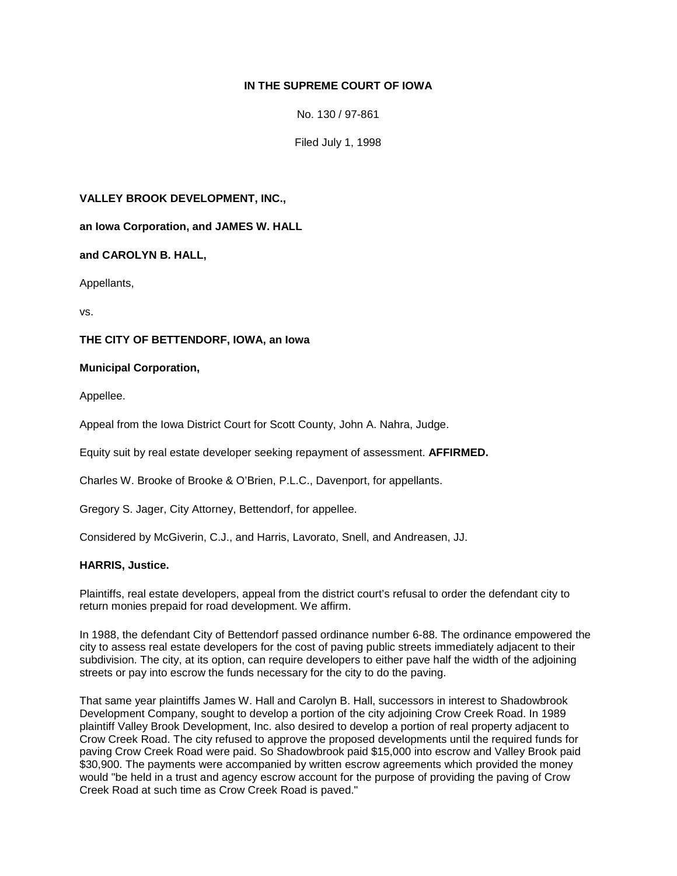# **IN THE SUPREME COURT OF IOWA**

No. 130 / 97-861

Filed July 1, 1998

#### **VALLEY BROOK DEVELOPMENT, INC.,**

**an Iowa Corporation, and JAMES W. HALL** 

## **and CAROLYN B. HALL,**

Appellants,

vs.

## **THE CITY OF BETTENDORF, IOWA, an Iowa**

## **Municipal Corporation,**

Appellee.

Appeal from the Iowa District Court for Scott County, John A. Nahra, Judge.

Equity suit by real estate developer seeking repayment of assessment. **AFFIRMED.**

Charles W. Brooke of Brooke & O'Brien, P.L.C., Davenport, for appellants.

Gregory S. Jager, City Attorney, Bettendorf, for appellee.

Considered by McGiverin, C.J., and Harris, Lavorato, Snell, and Andreasen, JJ.

## **HARRIS, Justice.**

Plaintiffs, real estate developers, appeal from the district court's refusal to order the defendant city to return monies prepaid for road development. We affirm.

In 1988, the defendant City of Bettendorf passed ordinance number 6-88. The ordinance empowered the city to assess real estate developers for the cost of paving public streets immediately adjacent to their subdivision. The city, at its option, can require developers to either pave half the width of the adjoining streets or pay into escrow the funds necessary for the city to do the paving.

That same year plaintiffs James W. Hall and Carolyn B. Hall, successors in interest to Shadowbrook Development Company, sought to develop a portion of the city adjoining Crow Creek Road. In 1989 plaintiff Valley Brook Development, Inc. also desired to develop a portion of real property adjacent to Crow Creek Road. The city refused to approve the proposed developments until the required funds for paving Crow Creek Road were paid. So Shadowbrook paid \$15,000 into escrow and Valley Brook paid \$30,900. The payments were accompanied by written escrow agreements which provided the money would "be held in a trust and agency escrow account for the purpose of providing the paving of Crow Creek Road at such time as Crow Creek Road is paved."